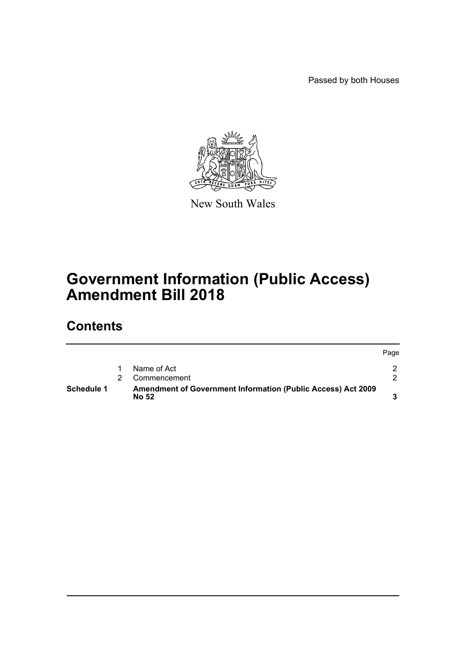Passed by both Houses



New South Wales

# **Government Information (Public Access) Amendment Bill 2018**

## **Contents**

| <b>Schedule 1</b> | <b>Amendment of Government Information (Public Access) Act 2009</b><br>No 52 |      |
|-------------------|------------------------------------------------------------------------------|------|
|                   | Commencement                                                                 |      |
|                   | Name of Act                                                                  |      |
|                   |                                                                              | Page |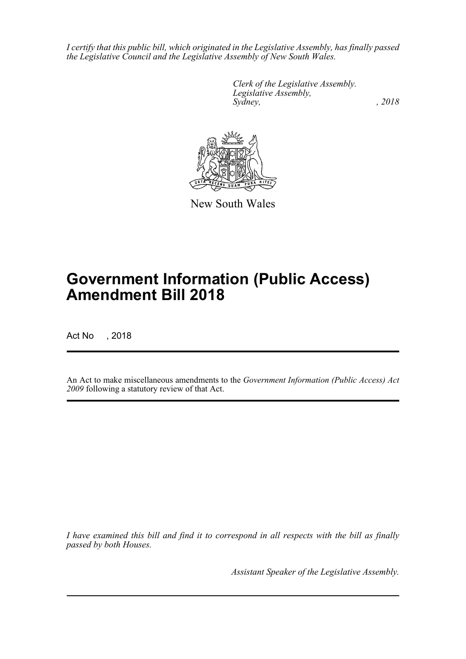*I certify that this public bill, which originated in the Legislative Assembly, has finally passed the Legislative Council and the Legislative Assembly of New South Wales.*

> *Clerk of the Legislative Assembly. Legislative Assembly, Sydney, , 2018*



New South Wales

# **Government Information (Public Access) Amendment Bill 2018**

Act No , 2018

An Act to make miscellaneous amendments to the *Government Information (Public Access) Act 2009* following a statutory review of that Act.

*I have examined this bill and find it to correspond in all respects with the bill as finally passed by both Houses.*

*Assistant Speaker of the Legislative Assembly.*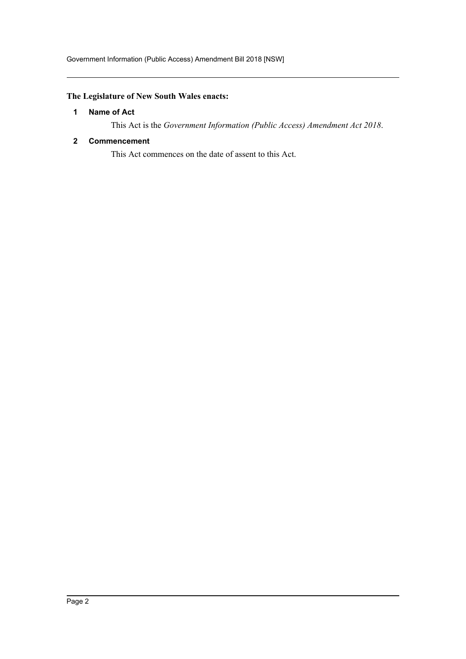## <span id="page-2-0"></span>**The Legislature of New South Wales enacts:**

## **1 Name of Act**

This Act is the *Government Information (Public Access) Amendment Act 2018*.

## <span id="page-2-1"></span>**2 Commencement**

This Act commences on the date of assent to this Act.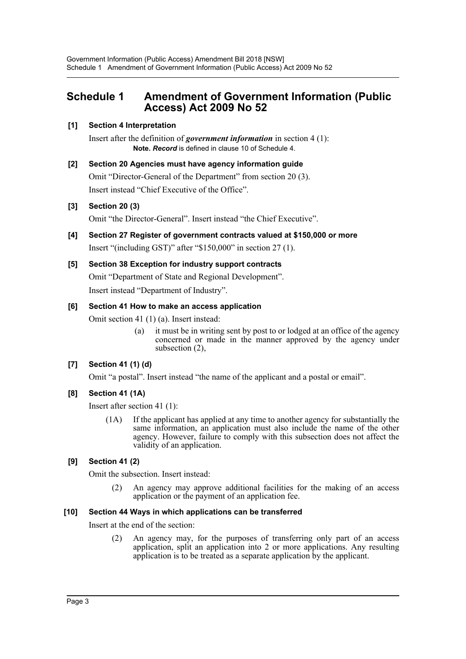## <span id="page-3-0"></span>**Schedule 1 Amendment of Government Information (Public Access) Act 2009 No 52**

## **[1] Section 4 Interpretation**

Insert after the definition of *government information* in section 4 (1): **Note.** *Record* is defined in clause 10 of Schedule 4.

**[2] Section 20 Agencies must have agency information guide** Omit "Director-General of the Department" from section 20 (3). Insert instead "Chief Executive of the Office".

## **[3] Section 20 (3)**

Omit "the Director-General". Insert instead "the Chief Executive".

**[4] Section 27 Register of government contracts valued at \$150,000 or more** Insert "(including GST)" after "\$150,000" in section 27 (1).

## **[5] Section 38 Exception for industry support contracts**

Omit "Department of State and Regional Development". Insert instead "Department of Industry".

#### **[6] Section 41 How to make an access application**

Omit section 41 (1) (a). Insert instead:

(a) it must be in writing sent by post to or lodged at an office of the agency concerned or made in the manner approved by the agency under subsection (2),

## **[7] Section 41 (1) (d)**

Omit "a postal". Insert instead "the name of the applicant and a postal or email".

## **[8] Section 41 (1A)**

Insert after section 41 (1):

(1A) If the applicant has applied at any time to another agency for substantially the same information, an application must also include the name of the other agency. However, failure to comply with this subsection does not affect the validity of an application.

## **[9] Section 41 (2)**

Omit the subsection. Insert instead:

(2) An agency may approve additional facilities for the making of an access application or the payment of an application fee.

#### **[10] Section 44 Ways in which applications can be transferred**

Insert at the end of the section:

(2) An agency may, for the purposes of transferring only part of an access application, split an application into 2 or more applications. Any resulting application is to be treated as a separate application by the applicant.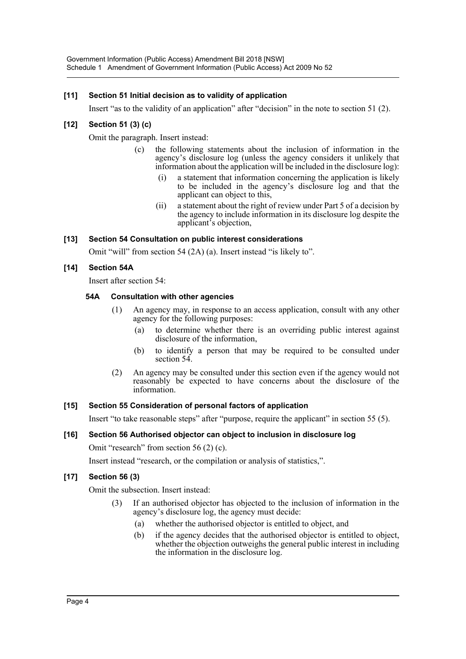## **[11] Section 51 Initial decision as to validity of application**

Insert "as to the validity of an application" after "decision" in the note to section 51 (2).

## **[12] Section 51 (3) (c)**

Omit the paragraph. Insert instead:

- (c) the following statements about the inclusion of information in the agency's disclosure log (unless the agency considers it unlikely that information about the application will be included in the disclosure log):
	- (i) a statement that information concerning the application is likely to be included in the agency's disclosure log and that the applicant can object to this,
	- (ii) a statement about the right of review under Part 5 of a decision by the agency to include information in its disclosure log despite the applicant's objection,

#### **[13] Section 54 Consultation on public interest considerations**

Omit "will" from section 54 (2A) (a). Insert instead "is likely to".

#### **[14] Section 54A**

Insert after section 54:

#### **54A Consultation with other agencies**

- (1) An agency may, in response to an access application, consult with any other agency for the following purposes:
	- (a) to determine whether there is an overriding public interest against disclosure of the information,
	- (b) to identify a person that may be required to be consulted under section 54.
- (2) An agency may be consulted under this section even if the agency would not reasonably be expected to have concerns about the disclosure of the information.

#### **[15] Section 55 Consideration of personal factors of application**

Insert "to take reasonable steps" after "purpose, require the applicant" in section 55 (5).

#### **[16] Section 56 Authorised objector can object to inclusion in disclosure log**

Omit "research" from section 56 (2) (c).

Insert instead "research, or the compilation or analysis of statistics,".

#### **[17] Section 56 (3)**

Omit the subsection. Insert instead:

- If an authorised objector has objected to the inclusion of information in the agency's disclosure log, the agency must decide:
	- (a) whether the authorised objector is entitled to object, and
	- (b) if the agency decides that the authorised objector is entitled to object, whether the objection outweighs the general public interest in including the information in the disclosure log.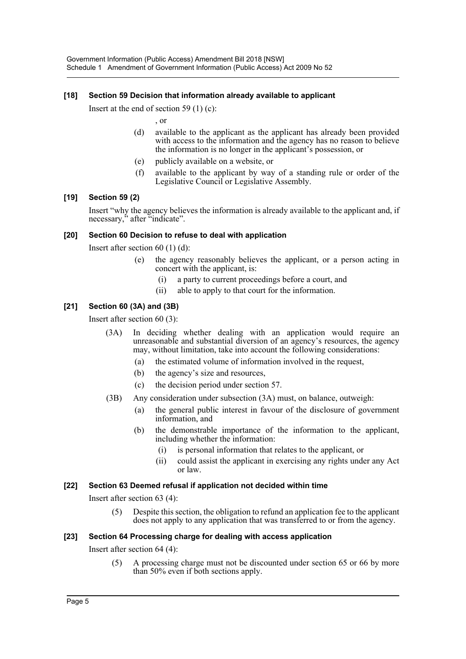#### **[18] Section 59 Decision that information already available to applicant**

Insert at the end of section 59  $(1)$  (c):

, or

- (d) available to the applicant as the applicant has already been provided with access to the information and the agency has no reason to believe the information is no longer in the applicant's possession, or
- (e) publicly available on a website, or
- (f) available to the applicant by way of a standing rule or order of the Legislative Council or Legislative Assembly.

#### **[19] Section 59 (2)**

Insert "why the agency believes the information is already available to the applicant and, if necessary," after "indicate".

#### **[20] Section 60 Decision to refuse to deal with application**

Insert after section 60 (1) (d):

- (e) the agency reasonably believes the applicant, or a person acting in concert with the applicant, is:
	- (i) a party to current proceedings before a court, and
	- (ii) able to apply to that court for the information.

#### **[21] Section 60 (3A) and (3B)**

Insert after section 60 (3):

- (3A) In deciding whether dealing with an application would require an unreasonable and substantial diversion of an agency's resources, the agency may, without limitation, take into account the following considerations:
	- (a) the estimated volume of information involved in the request,
	- (b) the agency's size and resources,
	- (c) the decision period under section 57.
- (3B) Any consideration under subsection (3A) must, on balance, outweigh:
	- (a) the general public interest in favour of the disclosure of government information, and
	- (b) the demonstrable importance of the information to the applicant, including whether the information:
		- (i) is personal information that relates to the applicant, or
		- (ii) could assist the applicant in exercising any rights under any Act or law.

#### **[22] Section 63 Deemed refusal if application not decided within time**

Insert after section 63 (4):

(5) Despite this section, the obligation to refund an application fee to the applicant does not apply to any application that was transferred to or from the agency.

#### **[23] Section 64 Processing charge for dealing with access application**

Insert after section 64 (4):

(5) A processing charge must not be discounted under section 65 or 66 by more than 50% even if both sections apply.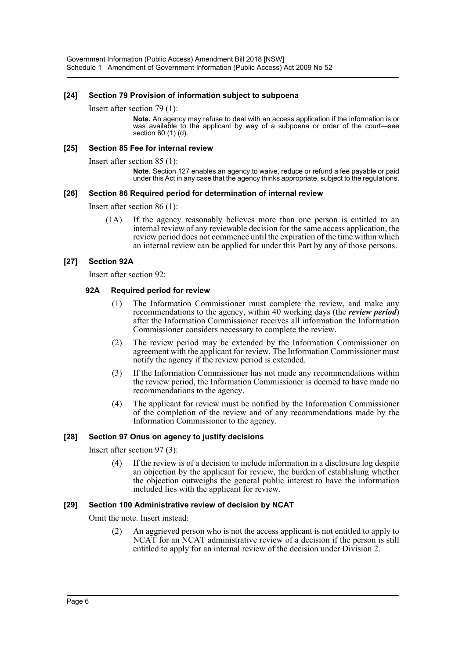#### **[24] Section 79 Provision of information subject to subpoena**

#### Insert after section 79 (1):

**Note.** An agency may refuse to deal with an access application if the information is or was available to the applicant by way of a subpoena or order of the court—see section 60 (1) (d).

#### **[25] Section 85 Fee for internal review**

Insert after section 85 (1):

**Note.** Section 127 enables an agency to waive, reduce or refund a fee payable or paid under this Act in any case that the agency thinks appropriate, subject to the regulations.

#### **[26] Section 86 Required period for determination of internal review**

Insert after section 86 (1):

(1A) If the agency reasonably believes more than one person is entitled to an internal review of any reviewable decision for the same access application, the review period does not commence until the expiration of the time within which an internal review can be applied for under this Part by any of those persons.

#### **[27] Section 92A**

Insert after section 92:

#### **92A Required period for review**

- (1) The Information Commissioner must complete the review, and make any recommendations to the agency, within 40 working days (the *review period*) after the Information Commissioner receives all information the Information Commissioner considers necessary to complete the review.
- (2) The review period may be extended by the Information Commissioner on agreement with the applicant for review. The Information Commissioner must notify the agency if the review period is extended.
- (3) If the Information Commissioner has not made any recommendations within the review period, the Information Commissioner is deemed to have made no recommendations to the agency.
- (4) The applicant for review must be notified by the Information Commissioner of the completion of the review and of any recommendations made by the Information Commissioner to the agency.

#### **[28] Section 97 Onus on agency to justify decisions**

Insert after section 97 (3):

(4) If the review is of a decision to include information in a disclosure log despite an objection by the applicant for review, the burden of establishing whether the objection outweighs the general public interest to have the information included lies with the applicant for review.

#### **[29] Section 100 Administrative review of decision by NCAT**

Omit the note. Insert instead:

(2) An aggrieved person who is not the access applicant is not entitled to apply to NCAT for an NCAT administrative review of a decision if the person is still entitled to apply for an internal review of the decision under Division 2.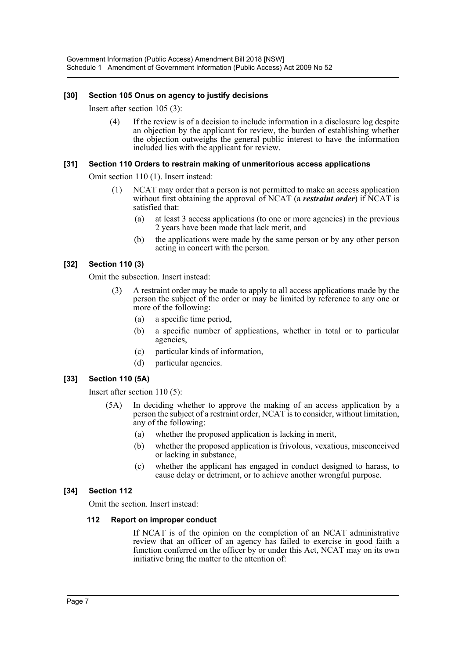#### **[30] Section 105 Onus on agency to justify decisions**

Insert after section 105 (3):

(4) If the review is of a decision to include information in a disclosure log despite an objection by the applicant for review, the burden of establishing whether the objection outweighs the general public interest to have the information included lies with the applicant for review.

#### **[31] Section 110 Orders to restrain making of unmeritorious access applications**

Omit section 110 (1). Insert instead:

- (1) NCAT may order that a person is not permitted to make an access application without first obtaining the approval of NCAT (a *restraint order*) if NCAT is satisfied that:
	- (a) at least 3 access applications (to one or more agencies) in the previous 2 years have been made that lack merit, and
	- (b) the applications were made by the same person or by any other person acting in concert with the person.

#### **[32] Section 110 (3)**

Omit the subsection. Insert instead:

- (3) A restraint order may be made to apply to all access applications made by the person the subject of the order or may be limited by reference to any one or more of the following:
	- (a) a specific time period,
	- (b) a specific number of applications, whether in total or to particular agencies,
	- (c) particular kinds of information,
	- (d) particular agencies.

#### **[33] Section 110 (5A)**

Insert after section 110 (5):

- (5A) In deciding whether to approve the making of an access application by a person the subject of a restraint order, NCAT is to consider, without limitation, any of the following:
	- (a) whether the proposed application is lacking in merit,
	- (b) whether the proposed application is frivolous, vexatious, misconceived or lacking in substance,
	- (c) whether the applicant has engaged in conduct designed to harass, to cause delay or detriment, or to achieve another wrongful purpose.

#### **[34] Section 112**

Omit the section. Insert instead:

#### **112 Report on improper conduct**

If NCAT is of the opinion on the completion of an NCAT administrative review that an officer of an agency has failed to exercise in good faith a function conferred on the officer by or under this Act, NCAT may on its own initiative bring the matter to the attention of: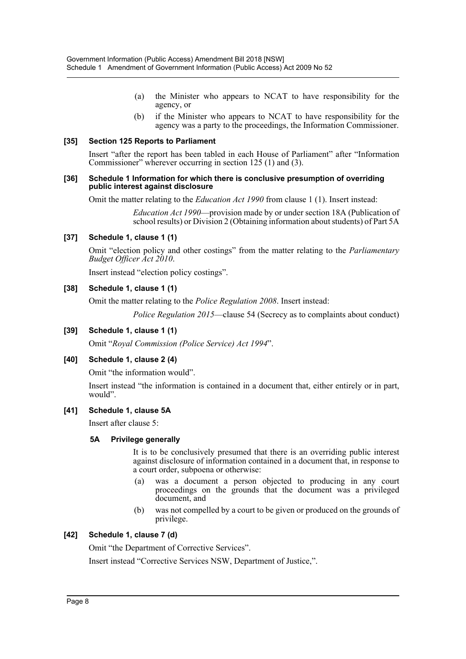- (a) the Minister who appears to NCAT to have responsibility for the agency, or
- (b) if the Minister who appears to NCAT to have responsibility for the agency was a party to the proceedings, the Information Commissioner.

#### **[35] Section 125 Reports to Parliament**

Insert "after the report has been tabled in each House of Parliament" after "Information Commissioner" wherever occurring in section 125 (1) and (3).

#### **[36] Schedule 1 Information for which there is conclusive presumption of overriding public interest against disclosure**

Omit the matter relating to the *Education Act 1990* from clause 1 (1). Insert instead:

*Education Act 1990*—provision made by or under section 18A (Publication of school results) or Division 2 (Obtaining information about students) of Part 5A

#### **[37] Schedule 1, clause 1 (1)**

Omit "election policy and other costings" from the matter relating to the *Parliamentary Budget Officer Act 2010*.

Insert instead "election policy costings".

#### **[38] Schedule 1, clause 1 (1)**

Omit the matter relating to the *Police Regulation 2008*. Insert instead:

*Police Regulation 2015*—clause 54 (Secrecy as to complaints about conduct)

#### **[39] Schedule 1, clause 1 (1)**

Omit "*Royal Commission (Police Service) Act 1994*".

#### **[40] Schedule 1, clause 2 (4)**

Omit "the information would".

Insert instead "the information is contained in a document that, either entirely or in part, would".

#### **[41] Schedule 1, clause 5A**

Insert after clause 5:

#### **5A Privilege generally**

It is to be conclusively presumed that there is an overriding public interest against disclosure of information contained in a document that, in response to a court order, subpoena or otherwise:

- (a) was a document a person objected to producing in any court proceedings on the grounds that the document was a privileged document, and
- (b) was not compelled by a court to be given or produced on the grounds of privilege.

#### **[42] Schedule 1, clause 7 (d)**

Omit "the Department of Corrective Services".

Insert instead "Corrective Services NSW, Department of Justice,".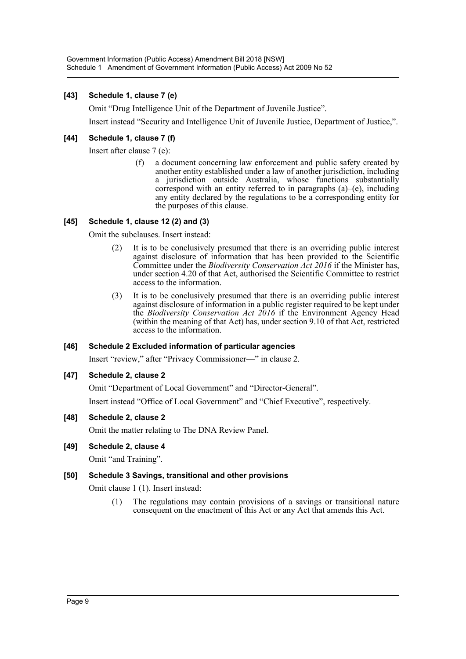## **[43] Schedule 1, clause 7 (e)**

Omit "Drug Intelligence Unit of the Department of Juvenile Justice".

Insert instead "Security and Intelligence Unit of Juvenile Justice, Department of Justice,".

## **[44] Schedule 1, clause 7 (f)**

Insert after clause 7 (e):

(f) a document concerning law enforcement and public safety created by another entity established under a law of another jurisdiction, including a jurisdiction outside Australia, whose functions substantially correspond with an entity referred to in paragraphs  $(a)$ – $(e)$ , including any entity declared by the regulations to be a corresponding entity for the purposes of this clause.

#### **[45] Schedule 1, clause 12 (2) and (3)**

Omit the subclauses. Insert instead:

- (2) It is to be conclusively presumed that there is an overriding public interest against disclosure of information that has been provided to the Scientific Committee under the *Biodiversity Conservation Act 2016* if the Minister has, under section 4.20 of that Act, authorised the Scientific Committee to restrict access to the information.
- (3) It is to be conclusively presumed that there is an overriding public interest against disclosure of information in a public register required to be kept under the *Biodiversity Conservation Act 2016* if the Environment Agency Head (within the meaning of that Act) has, under section 9.10 of that Act, restricted access to the information.

#### **[46] Schedule 2 Excluded information of particular agencies**

Insert "review," after "Privacy Commissioner—" in clause 2.

#### **[47] Schedule 2, clause 2**

Omit "Department of Local Government" and "Director-General".

Insert instead "Office of Local Government" and "Chief Executive", respectively.

#### **[48] Schedule 2, clause 2**

Omit the matter relating to The DNA Review Panel.

#### **[49] Schedule 2, clause 4**

Omit "and Training".

#### **[50] Schedule 3 Savings, transitional and other provisions**

Omit clause 1 (1). Insert instead:

(1) The regulations may contain provisions of a savings or transitional nature consequent on the enactment of this Act or any Act that amends this Act.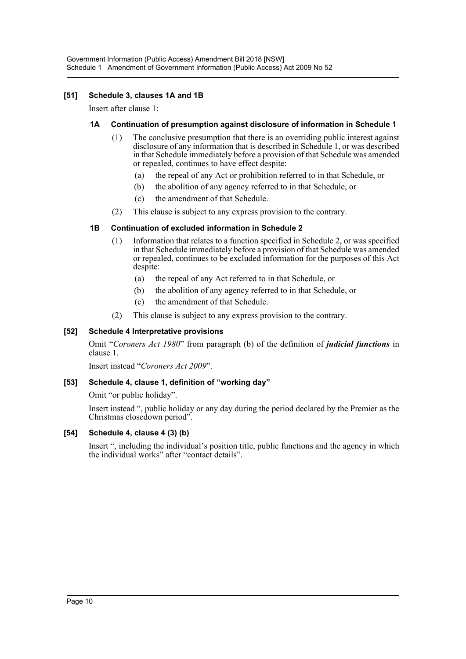## **[51] Schedule 3, clauses 1A and 1B**

Insert after clause 1:

#### **1A Continuation of presumption against disclosure of information in Schedule 1**

- (1) The conclusive presumption that there is an overriding public interest against disclosure of any information that is described in Schedule 1, or was described in that Schedule immediately before a provision of that Schedule was amended or repealed, continues to have effect despite:
	- (a) the repeal of any Act or prohibition referred to in that Schedule, or
	- (b) the abolition of any agency referred to in that Schedule, or
	- (c) the amendment of that Schedule.
- (2) This clause is subject to any express provision to the contrary.

#### **1B Continuation of excluded information in Schedule 2**

- (1) Information that relates to a function specified in Schedule 2, or was specified in that Schedule immediately before a provision of that Schedule was amended or repealed, continues to be excluded information for the purposes of this Act despite:
	- (a) the repeal of any Act referred to in that Schedule, or
	- (b) the abolition of any agency referred to in that Schedule, or
	- (c) the amendment of that Schedule.
- (2) This clause is subject to any express provision to the contrary.

## **[52] Schedule 4 Interpretative provisions**

Omit "*Coroners Act 1980*" from paragraph (b) of the definition of *judicial functions* in clause 1.

Insert instead "*Coroners Act 2009*".

#### **[53] Schedule 4, clause 1, definition of "working day"**

Omit "or public holiday".

Insert instead ", public holiday or any day during the period declared by the Premier as the Christmas closedown period".

#### **[54] Schedule 4, clause 4 (3) (b)**

Insert ", including the individual's position title, public functions and the agency in which the individual works" after "contact details".